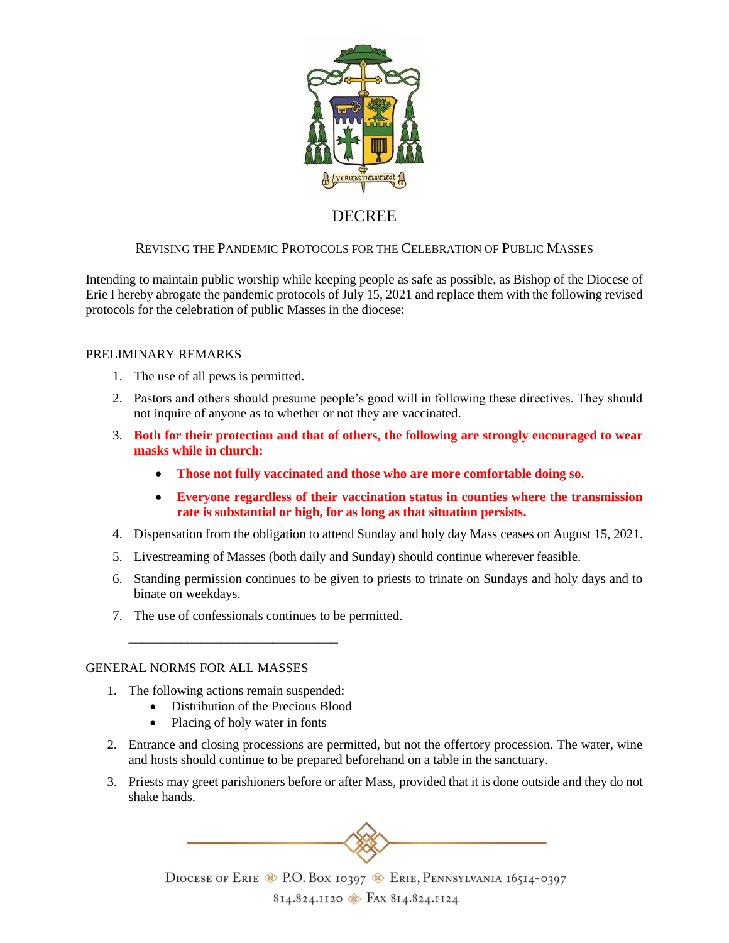

# DECREE

# REVISING THE PANDEMIC PROTOCOLS FOR THE CELEBRATION OF PUBLIC MASSES

Intending to maintain public worship while keeping people as safe as possible, as Bishop of the Diocese of Erie I hereby abrogate the pandemic protocols of July 15, 2021 and replace them with the following revised protocols for the celebration of public Masses in the diocese:

## PRELIMINARY REMARKS

- 1. The use of all pews is permitted.
- 2. Pastors and others should presume people's good will in following these directives. They should not inquire of anyone as to whether or not they are vaccinated.
- 3. **Both for their protection and that of others, the following are strongly encouraged to wear masks while in church:** 
	- **Those not fully vaccinated and those who are more comfortable doing so.**
	- **Everyone regardless of their vaccination status in counties where the transmission rate is substantial or high, for as long as that situation persists.**
- 4. Dispensation from the obligation to attend Sunday and holy day Mass ceases on August 15, 2021.
- 5. Livestreaming of Masses (both daily and Sunday) should continue wherever feasible.
- 6. Standing permission continues to be given to priests to trinate on Sundays and holy days and to binate on weekdays.
- 7. The use of confessionals continues to be permitted.

## GENERAL NORMS FOR ALL MASSES

1. The following actions remain suspended:

\_\_\_\_\_\_\_\_\_\_\_\_\_\_\_\_\_\_\_\_\_\_\_\_\_\_\_\_\_\_\_\_

- Distribution of the Precious Blood
- Placing of holy water in fonts
- 2. Entrance and closing processions are permitted, but not the offertory procession. The water, wine and hosts should continue to be prepared beforehand on a table in the sanctuary.
- 3. Priests may greet parishioners before or after Mass, provided that it is done outside and they do not shake hands.



DIOCESE OF ERIE C P.O. BOX 10397 CRIE, PENNSYLVANIA 16514-0397 814.824.1120 FAX 814.824.1124